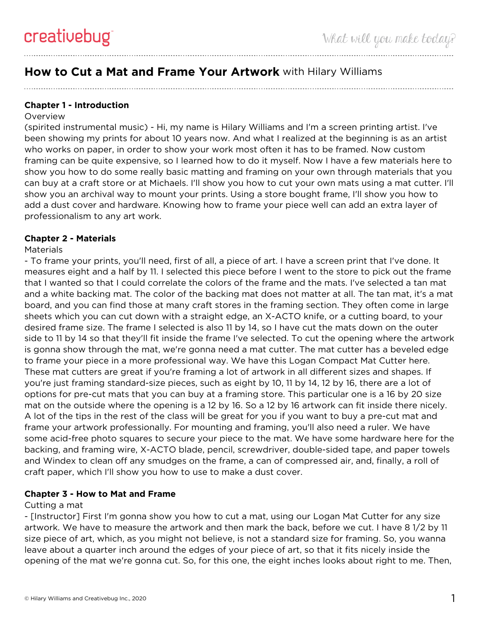# **How to Cut a Mat and Frame Your Artwork** with Hilary Williams

# **Chapter 1 - Introduction**

#### **Overview**

(spirited instrumental music) - Hi, my name is Hilary Williams and I'm a screen printing artist. I've been showing my prints for about 10 years now. And what I realized at the beginning is as an artist who works on paper, in order to show your work most often it has to be framed. Now custom framing can be quite expensive, so I learned how to do it myself. Now I have a few materials here to show you how to do some really basic matting and framing on your own through materials that you can buy at a craft store or at Michaels. I'll show you how to cut your own mats using a mat cutter. I'll show you an archival way to mount your prints. Using a store bought frame, I'll show you how to add a dust cover and hardware. Knowing how to frame your piece well can add an extra layer of professionalism to any art work.

## **Chapter 2 - Materials**

#### **Materials**

- To frame your prints, you'll need, first of all, a piece of art. I have a screen print that I've done. It measures eight and a half by 11. I selected this piece before I went to the store to pick out the frame that I wanted so that I could correlate the colors of the frame and the mats. I've selected a tan mat and a white backing mat. The color of the backing mat does not matter at all. The tan mat, it's a mat board, and you can find those at many craft stores in the framing section. They often come in large sheets which you can cut down with a straight edge, an X-ACTO knife, or a cutting board, to your desired frame size. The frame I selected is also 11 by 14, so I have cut the mats down on the outer side to 11 by 14 so that they'll fit inside the frame I've selected. To cut the opening where the artwork is gonna show through the mat, we're gonna need a mat cutter. The mat cutter has a beveled edge to frame your piece in a more professional way. We have this Logan Compact Mat Cutter here. These mat cutters are great if you're framing a lot of artwork in all different sizes and shapes. If you're just framing standard-size pieces, such as eight by 10, 11 by 14, 12 by 16, there are a lot of options for pre-cut mats that you can buy at a framing store. This particular one is a 16 by 20 size mat on the outside where the opening is a 12 by 16. So a 12 by 16 artwork can fit inside there nicely. A lot of the tips in the rest of the class will be great for you if you want to buy a pre-cut mat and frame your artwork professionally. For mounting and framing, you'll also need a ruler. We have some acid-free photo squares to secure your piece to the mat. We have some hardware here for the backing, and framing wire, X-ACTO blade, pencil, screwdriver, double-sided tape, and paper towels and Windex to clean off any smudges on the frame, a can of compressed air, and, finally, a roll of craft paper, which I'll show you how to use to make a dust cover.

## **Chapter 3 - How to Mat and Frame**

#### Cutting a mat

- [Instructor] First I'm gonna show you how to cut a mat, using our Logan Mat Cutter for any size artwork. We have to measure the artwork and then mark the back, before we cut. I have 8 1/2 by 11 size piece of art, which, as you might not believe, is not a standard size for framing. So, you wanna leave about a quarter inch around the edges of your piece of art, so that it fits nicely inside the opening of the mat we're gonna cut. So, for this one, the eight inches looks about right to me. Then,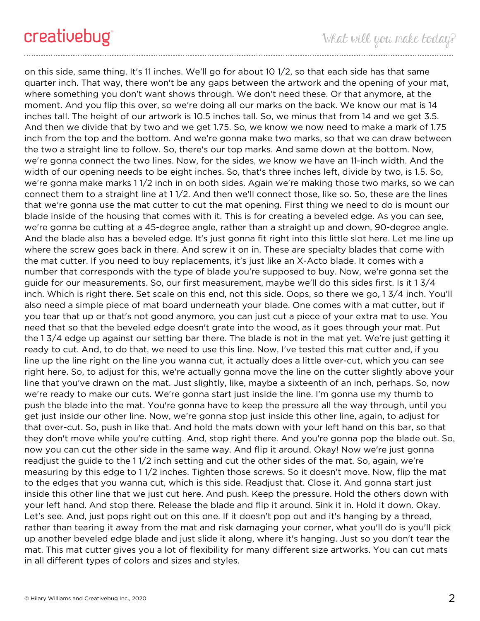on this side, same thing. It's 11 inches. We'll go for about 10 1/2, so that each side has that same quarter inch. That way, there won't be any gaps between the artwork and the opening of your mat, where something you don't want shows through. We don't need these. Or that anymore, at the moment. And you flip this over, so we're doing all our marks on the back. We know our mat is 14 inches tall. The height of our artwork is 10.5 inches tall. So, we minus that from 14 and we get 3.5. And then we divide that by two and we get 1.75. So, we know we now need to make a mark of 1.75 inch from the top and the bottom. And we're gonna make two marks, so that we can draw between the two a straight line to follow. So, there's our top marks. And same down at the bottom. Now, we're gonna connect the two lines. Now, for the sides, we know we have an 11-inch width. And the width of our opening needs to be eight inches. So, that's three inches left, divide by two, is 1.5. So, we're gonna make marks 1 1/2 inch in on both sides. Again we're making those two marks, so we can connect them to a straight line at 1 1/2. And then we'll connect those, like so. So, these are the lines that we're gonna use the mat cutter to cut the mat opening. First thing we need to do is mount our blade inside of the housing that comes with it. This is for creating a beveled edge. As you can see, we're gonna be cutting at a 45-degree angle, rather than a straight up and down, 90-degree angle. And the blade also has a beveled edge. It's just gonna fit right into this little slot here. Let me line up where the screw goes back in there. And screw it on in. These are specialty blades that come with the mat cutter. If you need to buy replacements, it's just like an X-Acto blade. It comes with a number that corresponds with the type of blade you're supposed to buy. Now, we're gonna set the guide for our measurements. So, our first measurement, maybe we'll do this sides first. Is it 1 3/4 inch. Which is right there. Set scale on this end, not this side. Oops, so there we go, 1 3/4 inch. You'll also need a simple piece of mat board underneath your blade. One comes with a mat cutter, but if you tear that up or that's not good anymore, you can just cut a piece of your extra mat to use. You need that so that the beveled edge doesn't grate into the wood, as it goes through your mat. Put the 1 3/4 edge up against our setting bar there. The blade is not in the mat yet. We're just getting it ready to cut. And, to do that, we need to use this line. Now, I've tested this mat cutter and, if you line up the line right on the line you wanna cut, it actually does a little over-cut, which you can see right here. So, to adjust for this, we're actually gonna move the line on the cutter slightly above your line that you've drawn on the mat. Just slightly, like, maybe a sixteenth of an inch, perhaps. So, now we're ready to make our cuts. We're gonna start just inside the line. I'm gonna use my thumb to push the blade into the mat. You're gonna have to keep the pressure all the way through, until you get just inside our other line. Now, we're gonna stop just inside this other line, again, to adjust for that over-cut. So, push in like that. And hold the mats down with your left hand on this bar, so that they don't move while you're cutting. And, stop right there. And you're gonna pop the blade out. So, now you can cut the other side in the same way. And flip it around. Okay! Now we're just gonna readjust the guide to the 1 1/2 inch setting and cut the other sides of the mat. So, again, we're measuring by this edge to 1 1/2 inches. Tighten those screws. So it doesn't move. Now, flip the mat to the edges that you wanna cut, which is this side. Readjust that. Close it. And gonna start just inside this other line that we just cut here. And push. Keep the pressure. Hold the others down with your left hand. And stop there. Release the blade and flip it around. Sink it in. Hold it down. Okay. Let's see. And, just pops right out on this one. If it doesn't pop out and it's hanging by a thread, rather than tearing it away from the mat and risk damaging your corner, what you'll do is you'll pick up another beveled edge blade and just slide it along, where it's hanging. Just so you don't tear the mat. This mat cutter gives you a lot of flexibility for many different size artworks. You can cut mats in all different types of colors and sizes and styles.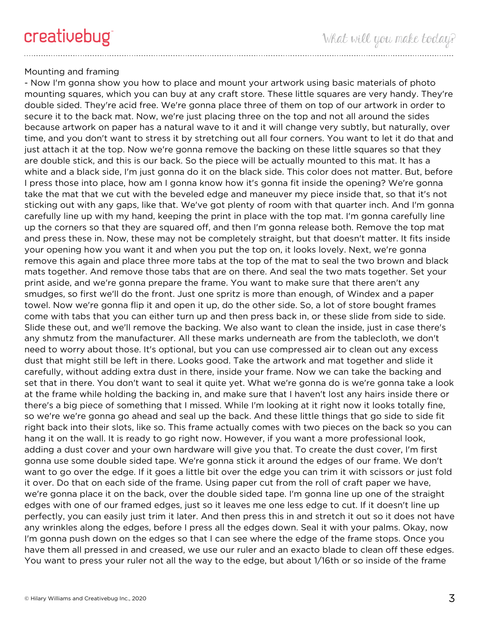# Mounting and framing

- Now I'm gonna show you how to place and mount your artwork using basic materials of photo mounting squares, which you can buy at any craft store. These little squares are very handy. They're double sided. They're acid free. We're gonna place three of them on top of our artwork in order to secure it to the back mat. Now, we're just placing three on the top and not all around the sides because artwork on paper has a natural wave to it and it will change very subtly, but naturally, over time, and you don't want to stress it by stretching out all four corners. You want to let it do that and just attach it at the top. Now we're gonna remove the backing on these little squares so that they are double stick, and this is our back. So the piece will be actually mounted to this mat. It has a white and a black side, I'm just gonna do it on the black side. This color does not matter. But, before I press those into place, how am I gonna know how it's gonna fit inside the opening? We're gonna take the mat that we cut with the beveled edge and maneuver my piece inside that, so that it's not sticking out with any gaps, like that. We've got plenty of room with that quarter inch. And I'm gonna carefully line up with my hand, keeping the print in place with the top mat. I'm gonna carefully line up the corners so that they are squared off, and then I'm gonna release both. Remove the top mat and press these in. Now, these may not be completely straight, but that doesn't matter. It fits inside your opening how you want it and when you put the top on, it looks lovely. Next, we're gonna remove this again and place three more tabs at the top of the mat to seal the two brown and black mats together. And remove those tabs that are on there. And seal the two mats together. Set your print aside, and we're gonna prepare the frame. You want to make sure that there aren't any smudges, so first we'll do the front. Just one spritz is more than enough, of Windex and a paper towel. Now we're gonna flip it and open it up, do the other side. So, a lot of store bought frames come with tabs that you can either turn up and then press back in, or these slide from side to side. Slide these out, and we'll remove the backing. We also want to clean the inside, just in case there's any shmutz from the manufacturer. All these marks underneath are from the tablecloth, we don't need to worry about those. It's optional, but you can use compressed air to clean out any excess dust that might still be left in there. Looks good. Take the artwork and mat together and slide it carefully, without adding extra dust in there, inside your frame. Now we can take the backing and set that in there. You don't want to seal it quite yet. What we're gonna do is we're gonna take a look at the frame while holding the backing in, and make sure that I haven't lost any hairs inside there or there's a big piece of something that I missed. While I'm looking at it right now it looks totally fine, so we're we're gonna go ahead and seal up the back. And these little things that go side to side fit right back into their slots, like so. This frame actually comes with two pieces on the back so you can hang it on the wall. It is ready to go right now. However, if you want a more professional look, adding a dust cover and your own hardware will give you that. To create the dust cover, I'm first gonna use some double sided tape. We're gonna stick it around the edges of our frame. We don't want to go over the edge. If it goes a little bit over the edge you can trim it with scissors or just fold it over. Do that on each side of the frame. Using paper cut from the roll of craft paper we have, we're gonna place it on the back, over the double sided tape. I'm gonna line up one of the straight edges with one of our framed edges, just so it leaves me one less edge to cut. If it doesn't line up perfectly, you can easily just trim it later. And then press this in and stretch it out so it does not have any wrinkles along the edges, before I press all the edges down. Seal it with your palms. Okay, now I'm gonna push down on the edges so that I can see where the edge of the frame stops. Once you have them all pressed in and creased, we use our ruler and an exacto blade to clean off these edges. You want to press your ruler not all the way to the edge, but about 1/16th or so inside of the frame